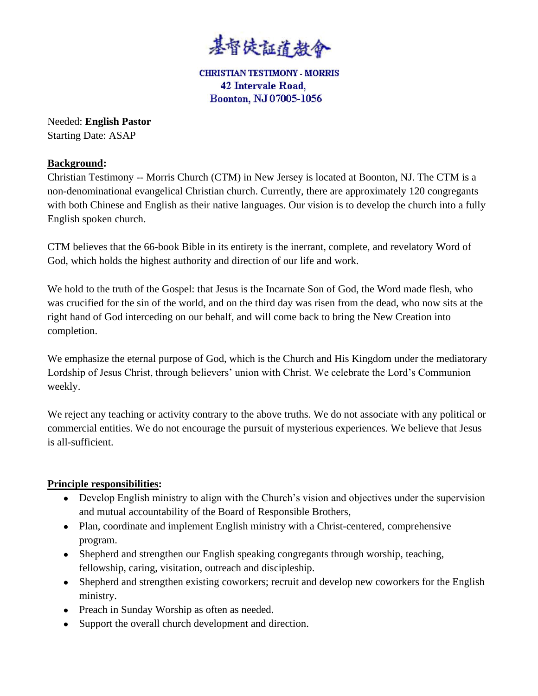

**CHRISTIAN TESTIMONY - MORRIS** 42 Intervale Road, Boonton, NJ 07005-1056

Needed: **English Pastor** Starting Date: ASAP

## **Background:**

Christian Testimony -- Morris Church (CTM) in New Jersey is located at Boonton, NJ. The CTM is a non-denominational evangelical Christian church. Currently, there are approximately 120 congregants with both Chinese and English as their native languages. Our vision is to develop the church into a fully English spoken church.

CTM believes that the 66-book Bible in its entirety is the inerrant, complete, and revelatory Word of God, which holds the highest authority and direction of our life and work.

We hold to the truth of the Gospel: that Jesus is the Incarnate Son of God, the Word made flesh, who was crucified for the sin of the world, and on the third day was risen from the dead, who now sits at the right hand of God interceding on our behalf, and will come back to bring the New Creation into completion.

We emphasize the eternal purpose of God, which is the Church and His Kingdom under the mediatorary Lordship of Jesus Christ, through believers' union with Christ. We celebrate the Lord's Communion weekly.

We reject any teaching or activity contrary to the above truths. We do not associate with any political or commercial entities. We do not encourage the pursuit of mysterious experiences. We believe that Jesus is all-sufficient.

## **Principle responsibilities:**

- Develop English ministry to align with the Church's vision and objectives under the supervision and mutual accountability of the Board of Responsible Brothers,
- Plan, coordinate and implement English ministry with a Christ-centered, comprehensive program.
- Shepherd and strengthen our English speaking congregants through worship, teaching, fellowship, caring, visitation, outreach and discipleship.
- Shepherd and strengthen existing coworkers; recruit and develop new coworkers for the English ministry.
- Preach in Sunday Worship as often as needed.
- Support the overall church development and direction.